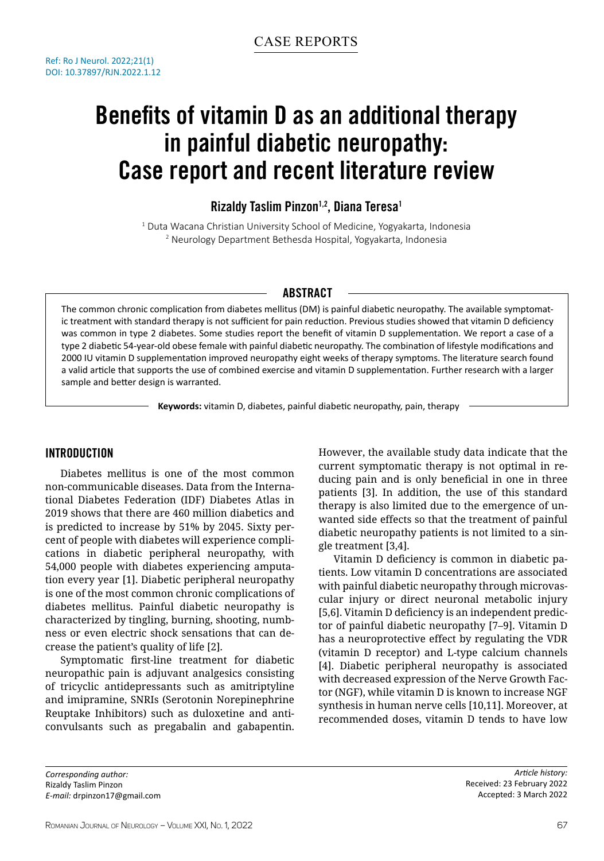# Benefits of vitamin D as an additional therapy in painful diabetic neuropathy: Case report and recent literature review

# Rizaldy Taslim Pinzon<sup>1,2</sup>, Diana Teresa<sup>1</sup>

1 Duta Wacana Christian University School of Medicine, Yogyakarta, Indonesia 2 Neurology Department Bethesda Hospital, Yogyakarta, Indonesia

# **ABSTRACT**

The common chronic complication from diabetes mellitus (DM) is painful diabetic neuropathy. The available symptomatic treatment with standard therapy is not sufficient for pain reduction. Previous studies showed that vitamin D deficiency was common in type 2 diabetes. Some studies report the benefit of vitamin D supplementation. We report a case of a type 2 diabetic 54-year-old obese female with painful diabetic neuropathy. The combination of lifestyle modifications and 2000 IU vitamin D supplementation improved neuropathy eight weeks of therapy symptoms. The literature search found a valid article that supports the use of combined exercise and vitamin D supplementation. Further research with a larger sample and better design is warranted.

**Keywords:** vitamin D, diabetes, painful diabetic neuropathy, pain, therapy

## INTRODUCTION

Diabetes mellitus is one of the most common non-communicable diseases. Data from the International Diabetes Federation (IDF) Diabetes Atlas in 2019 shows that there are 460 million diabetics and is predicted to increase by 51% by 2045. Sixty percent of people with diabetes will experience complications in diabetic peripheral neuropathy, with 54,000 people with diabetes experiencing amputation every year [1]. Diabetic peripheral neuropathy is one of the most common chronic complications of diabetes mellitus. Painful diabetic neuropathy is characterized by tingling, burning, shooting, numbness or even electric shock sensations that can decrease the patient's quality of life [2].

Symptomatic first-line treatment for diabetic neuropathic pain is adjuvant analgesics consisting of tricyclic antidepressants such as amitriptyline and imipramine, SNRIs (Serotonin Norepinephrine Reuptake Inhibitors) such as duloxetine and anticonvulsants such as pregabalin and gabapentin. However, the available study data indicate that the current symptomatic therapy is not optimal in reducing pain and is only beneficial in one in three patients [3]. In addition, the use of this standard therapy is also limited due to the emergence of unwanted side effects so that the treatment of painful diabetic neuropathy patients is not limited to a single treatment [3,4].

Vitamin D deficiency is common in diabetic patients. Low vitamin D concentrations are associated with painful diabetic neuropathy through microvascular injury or direct neuronal metabolic injury [5,6]. Vitamin D deficiency is an independent predictor of painful diabetic neuropathy [7–9]. Vitamin D has a neuroprotective effect by regulating the VDR (vitamin D receptor) and L-type calcium channels [4]. Diabetic peripheral neuropathy is associated with decreased expression of the Nerve Growth Factor (NGF), while vitamin D is known to increase NGF synthesis in human nerve cells [10,11]. Moreover, at recommended doses, vitamin D tends to have low

*Corresponding author:* Rizaldy Taslim Pinzon *E-mail:* drpinzon17@gmail.com

*Article history:* Received: 23 February 2022 Accepted: 3 March 2022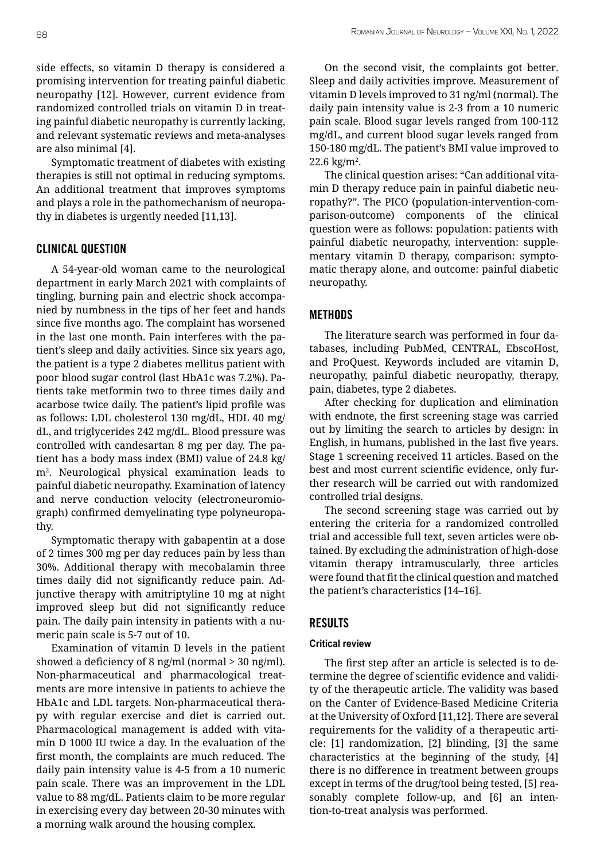side effects, so vitamin D therapy is considered a promising intervention for treating painful diabetic neuropathy [12]. However, current evidence from randomized controlled trials on vitamin D in treating painful diabetic neuropathy is currently lacking, and relevant systematic reviews and meta-analyses are also minimal [4].

Symptomatic treatment of diabetes with existing therapies is still not optimal in reducing symptoms. An additional treatment that improves symptoms and plays a role in the pathomechanism of neuropathy in diabetes is urgently needed [11,13].

# CLINICAL QUESTION

A 54-year-old woman came to the neurological department in early March 2021 with complaints of tingling, burning pain and electric shock accompanied by numbness in the tips of her feet and hands since five months ago. The complaint has worsened in the last one month. Pain interferes with the patient's sleep and daily activities. Since six years ago, the patient is a type 2 diabetes mellitus patient with poor blood sugar control (last HbA1c was 7.2%). Patients take metformin two to three times daily and acarbose twice daily. The patient's lipid profile was as follows: LDL cholesterol 130 mg/dL, HDL 40 mg/ dL, and triglycerides 242 mg/dL. Blood pressure was controlled with candesartan 8 mg per day. The patient has a body mass index (BMI) value of 24.8 kg/ m2 . Neurological physical examination leads to painful diabetic neuropathy. Examination of latency and nerve conduction velocity (electroneuromiograph) confirmed demyelinating type polyneuropathy.

Symptomatic therapy with gabapentin at a dose of 2 times 300 mg per day reduces pain by less than 30%. Additional therapy with mecobalamin three times daily did not significantly reduce pain. Adjunctive therapy with amitriptyline 10 mg at night improved sleep but did not significantly reduce pain. The daily pain intensity in patients with a numeric pain scale is 5-7 out of 10.

Examination of vitamin D levels in the patient showed a deficiency of 8 ng/ml (normal > 30 ng/ml). Non-pharmaceutical and pharmacological treatments are more intensive in patients to achieve the HbA1c and LDL targets. Non-pharmaceutical therapy with regular exercise and diet is carried out. Pharmacological management is added with vitamin D 1000 IU twice a day. In the evaluation of the first month, the complaints are much reduced. The daily pain intensity value is 4-5 from a 10 numeric pain scale. There was an improvement in the LDL value to 88 mg/dL. Patients claim to be more regular in exercising every day between 20-30 minutes with a morning walk around the housing complex.

On the second visit, the complaints got better. Sleep and daily activities improve. Measurement of vitamin D levels improved to 31 ng/ml (normal). The daily pain intensity value is 2-3 from a 10 numeric pain scale. Blood sugar levels ranged from 100-112 mg/dL, and current blood sugar levels ranged from 150-180 mg/dL. The patient's BMI value improved to  $22.6 \text{ kg/m}^2$ .

The clinical question arises: "Can additional vitamin D therapy reduce pain in painful diabetic neuropathy?". The PICO (population-intervention-comparison-outcome) components of the clinical question were as follows: population: patients with painful diabetic neuropathy, intervention: supplementary vitamin D therapy, comparison: symptomatic therapy alone, and outcome: painful diabetic neuropathy.

## METHODS

The literature search was performed in four databases, including PubMed, CENTRAL, EbscoHost, and ProQuest. Keywords included are vitamin D, neuropathy, painful diabetic neuropathy, therapy, pain, diabetes, type 2 diabetes.

After checking for duplication and elimination with endnote, the first screening stage was carried out by limiting the search to articles by design: in English, in humans, published in the last five years. Stage 1 screening received 11 articles. Based on the best and most current scientific evidence, only further research will be carried out with randomized controlled trial designs.

The second screening stage was carried out by entering the criteria for a randomized controlled trial and accessible full text, seven articles were obtained. By excluding the administration of high-dose vitamin therapy intramuscularly, three articles were found that fit the clinical question and matched the patient's characteristics [14–16].

## RESULTS

#### **Critical review**

The first step after an article is selected is to determine the degree of scientific evidence and validity of the therapeutic article. The validity was based on the Canter of Evidence-Based Medicine Criteria at the University of Oxford [11,12]. There are several requirements for the validity of a therapeutic article: [1] randomization, [2] blinding, [3] the same characteristics at the beginning of the study, [4] there is no difference in treatment between groups except in terms of the drug/tool being tested, [5] reasonably complete follow-up, and [6] an intention-to-treat analysis was performed.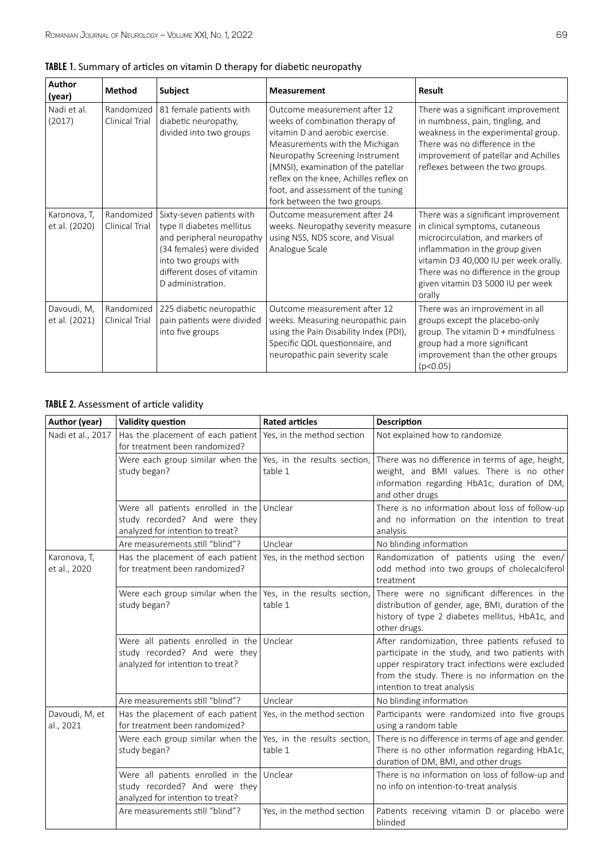| <b>Author</b>                 | <b>Method</b>                | Subject                                                                                                                                                                                     | <b>Measurement</b>                                                                                                                                                                                                                                                                                                             | Result                                                                                                                                                                                                                                                                        |
|-------------------------------|------------------------------|---------------------------------------------------------------------------------------------------------------------------------------------------------------------------------------------|--------------------------------------------------------------------------------------------------------------------------------------------------------------------------------------------------------------------------------------------------------------------------------------------------------------------------------|-------------------------------------------------------------------------------------------------------------------------------------------------------------------------------------------------------------------------------------------------------------------------------|
| (year)                        |                              |                                                                                                                                                                                             |                                                                                                                                                                                                                                                                                                                                |                                                                                                                                                                                                                                                                               |
| Nadi et al.<br>(2017)         | Randomized<br>Clinical Trial | 81 female patients with<br>diabetic neuropathy,<br>divided into two groups                                                                                                                  | Outcome measurement after 12<br>weeks of combination therapy of<br>vitamin D and aerobic exercise.<br>Measurements with the Michigan<br>Neuropathy Screening Instrument<br>(MNSI), examination of the patellar<br>reflex on the knee, Achilles reflex on<br>foot, and assessment of the tuning<br>fork between the two groups. | There was a significant improvement<br>in numbness, pain, tingling, and<br>weakness in the experimental group.<br>There was no difference in the<br>improvement of patellar and Achilles<br>reflexes between the two groups.                                                  |
| Karonova, T,<br>et al. (2020) | Randomized<br>Clinical Trial | Sixty-seven patients with<br>type II diabetes mellitus<br>and peripheral neuropathy<br>(34 females) were divided<br>into two groups with<br>different doses of vitamin<br>D administration. | Outcome measurement after 24<br>weeks. Neuropathy severity measure<br>using NSS, NDS score, and Visual<br>Analogue Scale                                                                                                                                                                                                       | There was a significant improvement<br>in clinical symptoms, cutaneous<br>microcirculation, and markers of<br>inflammation in the group given<br>vitamin D3 40,000 IU per week orally.<br>There was no difference in the group<br>given vitamin D3 5000 IU per week<br>orally |
| Davoudi, M,<br>et al. (2021)  | Randomized<br>Clinical Trial | 225 diabetic neuropathic<br>pain patients were divided<br>into five groups                                                                                                                  | Outcome measurement after 12<br>weeks. Measuring neuropathic pain<br>using the Pain Disability Index (PDI),<br>Specific QOL questionnaire, and<br>neuropathic pain severity scale                                                                                                                                              | There was an improvement in all<br>groups except the placebo-only<br>group. The vitamin $D +$ mindfulness<br>group had a more significant<br>improvement than the other groups<br>(p<0.05)                                                                                    |

# TABLE 2. Assessment of article validity

| Author (year)                | Validity question                                                                                              | <b>Rated articles</b>                   | Description                                                                                                                                                                                                                            |
|------------------------------|----------------------------------------------------------------------------------------------------------------|-----------------------------------------|----------------------------------------------------------------------------------------------------------------------------------------------------------------------------------------------------------------------------------------|
| Nadi et al., 2017            | Has the placement of each patient   Yes, in the method section<br>for treatment been randomized?               |                                         | Not explained how to randomize                                                                                                                                                                                                         |
|                              | Were each group similar when the Yes, in the results section,<br>study began?                                  | table 1                                 | There was no difference in terms of age, height,<br>weight, and BMI values. There is no other<br>information regarding HbA1c, duration of DM,<br>and other drugs                                                                       |
|                              | Were all patients enrolled in the Unclear<br>study recorded? And were they<br>analyzed for intention to treat? |                                         | There is no information about loss of follow-up<br>and no information on the intention to treat<br>analysis                                                                                                                            |
|                              | Are measurements still "blind"?                                                                                | Unclear                                 | No blinding information                                                                                                                                                                                                                |
| Karonova, T,<br>et al., 2020 | Has the placement of each patient<br>for treatment been randomized?                                            | Yes, in the method section              | Randomization of patients using the even/<br>odd method into two groups of cholecalciferol<br>treatment                                                                                                                                |
|                              | Were each group similar when the Yes, in the results section,<br>study began?                                  | table 1                                 | There were no significant differences in the<br>distribution of gender, age, BMI, duration of the<br>history of type 2 diabetes mellitus, HbA1c, and<br>other drugs.                                                                   |
|                              | Were all patients enrolled in the Unclear<br>study recorded? And were they<br>analyzed for intention to treat? |                                         | After randomization, three patients refused to<br>participate in the study, and two patients with<br>upper respiratory tract infections were excluded<br>from the study. There is no information on the<br>intention to treat analysis |
|                              | Are measurements still "blind"?                                                                                | Unclear                                 | No blinding information                                                                                                                                                                                                                |
| Davoudi, M, et<br>al., 2021  | Has the placement of each patient<br>for treatment been randomized?                                            | Yes, in the method section              | Participants were randomized into five groups<br>using a random table                                                                                                                                                                  |
|                              | Were each group similar when the<br>study began?                                                               | Yes, in the results section,<br>table 1 | There is no difference in terms of age and gender.<br>There is no other information regarding HbA1c,<br>duration of DM, BMI, and other drugs                                                                                           |
|                              | Were all patients enrolled in the Unclear<br>study recorded? And were they<br>analyzed for intention to treat? |                                         | There is no information on loss of follow-up and<br>no info on intention-to-treat analysis                                                                                                                                             |
|                              | Are measurements still "blind"?                                                                                | Yes, in the method section              | Patients receiving vitamin D or placebo were<br>blinded                                                                                                                                                                                |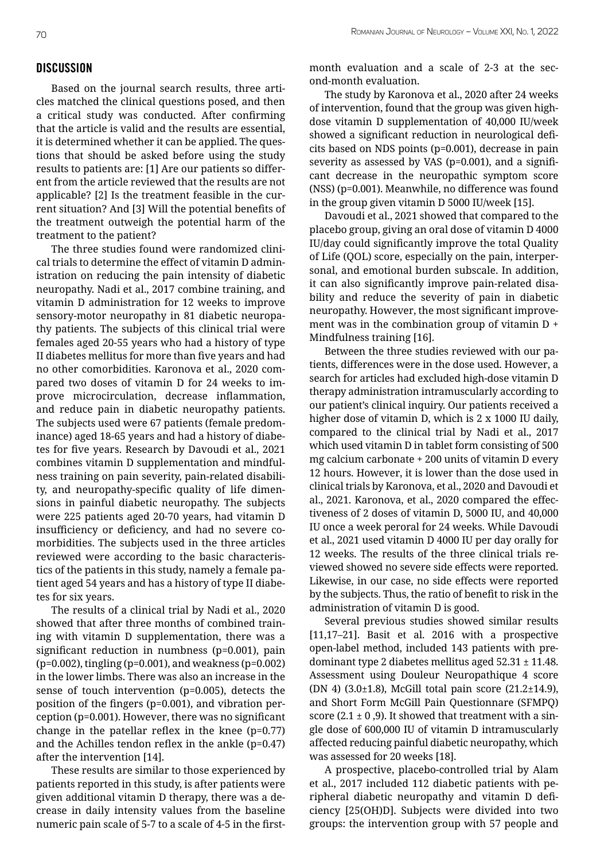## **DISCUSSION**

Based on the journal search results, three articles matched the clinical questions posed, and then a critical study was conducted. After confirming that the article is valid and the results are essential, it is determined whether it can be applied. The questions that should be asked before using the study results to patients are: [1] Are our patients so different from the article reviewed that the results are not applicable? [2] Is the treatment feasible in the current situation? And [3] Will the potential benefits of the treatment outweigh the potential harm of the treatment to the patient?

The three studies found were randomized clinical trials to determine the effect of vitamin D administration on reducing the pain intensity of diabetic neuropathy. Nadi et al., 2017 combine training, and vitamin D administration for 12 weeks to improve sensory-motor neuropathy in 81 diabetic neuropathy patients. The subjects of this clinical trial were females aged 20-55 years who had a history of type II diabetes mellitus for more than five years and had no other comorbidities. Karonova et al., 2020 compared two doses of vitamin D for 24 weeks to improve microcirculation, decrease inflammation, and reduce pain in diabetic neuropathy patients. The subjects used were 67 patients (female predominance) aged 18-65 years and had a history of diabetes for five years. Research by Davoudi et al., 2021 combines vitamin D supplementation and mindfulness training on pain severity, pain-related disability, and neuropathy-specific quality of life dimensions in painful diabetic neuropathy. The subjects were 225 patients aged 20-70 years, had vitamin D insufficiency or deficiency, and had no severe comorbidities. The subjects used in the three articles reviewed were according to the basic characteristics of the patients in this study, namely a female patient aged 54 years and has a history of type II diabetes for six years.

The results of a clinical trial by Nadi et al., 2020 showed that after three months of combined training with vitamin D supplementation, there was a significant reduction in numbness (p=0.001), pain (p=0.002), tingling (p=0.001), and weakness (p=0.002) in the lower limbs. There was also an increase in the sense of touch intervention (p=0.005), detects the position of the fingers (p=0.001), and vibration perception (p=0.001). However, there was no significant change in the patellar reflex in the knee (p=0.77) and the Achilles tendon reflex in the ankle (p=0.47) after the intervention [14].

These results are similar to those experienced by patients reported in this study, is after patients were given additional vitamin D therapy, there was a decrease in daily intensity values from the baseline numeric pain scale of 5-7 to a scale of 4-5 in the firstmonth evaluation and a scale of 2-3 at the second-month evaluation.

The study by Karonova et al., 2020 after 24 weeks of intervention, found that the group was given highdose vitamin D supplementation of 40,000 IU/week showed a significant reduction in neurological deficits based on NDS points (p=0.001), decrease in pain severity as assessed by VAS (p=0.001), and a significant decrease in the neuropathic symptom score (NSS) (p=0.001). Meanwhile, no difference was found in the group given vitamin D 5000 IU/week [15].

Davoudi et al., 2021 showed that compared to the placebo group, giving an oral dose of vitamin D 4000 IU/day could significantly improve the total Quality of Life (QOL) score, especially on the pain, interpersonal, and emotional burden subscale. In addition, it can also significantly improve pain-related disability and reduce the severity of pain in diabetic neuropathy. However, the most significant improvement was in the combination group of vitamin D + Mindfulness training [16].

Between the three studies reviewed with our patients, differences were in the dose used. However, a search for articles had excluded high-dose vitamin D therapy administration intramuscularly according to our patient's clinical inquiry. Our patients received a higher dose of vitamin D, which is 2 x 1000 IU daily, compared to the clinical trial by Nadi et al., 2017 which used vitamin D in tablet form consisting of 500 mg calcium carbonate + 200 units of vitamin D every 12 hours. However, it is lower than the dose used in clinical trials by Karonova, et al., 2020 and Davoudi et al., 2021. Karonova, et al., 2020 compared the effectiveness of 2 doses of vitamin D, 5000 IU, and 40,000 IU once a week peroral for 24 weeks. While Davoudi et al., 2021 used vitamin D 4000 IU per day orally for 12 weeks. The results of the three clinical trials reviewed showed no severe side effects were reported. Likewise, in our case, no side effects were reported by the subjects. Thus, the ratio of benefit to risk in the administration of vitamin D is good.

Several previous studies showed similar results [11,17–21]. Basit et al. 2016 with a prospective open-label method, included 143 patients with predominant type 2 diabetes mellitus aged  $52.31 \pm 11.48$ . Assessment using Douleur Neuropathique 4 score (DN 4) (3.0±1.8), McGill total pain score (21.2±14.9), and Short Form McGill Pain Questionnare (SFMPQ) score  $(2.1 \pm 0.9)$ . It showed that treatment with a single dose of 600,000 IU of vitamin D intramuscularly affected reducing painful diabetic neuropathy, which was assessed for 20 weeks [18].

A prospective, placebo-controlled trial by Alam et al., 2017 included 112 diabetic patients with peripheral diabetic neuropathy and vitamin D deficiency [25(OH)D]. Subjects were divided into two groups: the intervention group with 57 people and